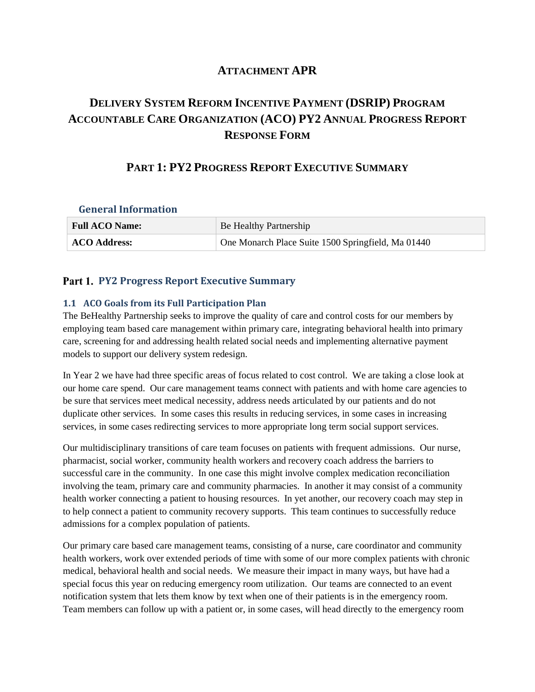## **ATTACHMENT APR**

# **DELIVERY SYSTEM REFORM INCENTIVE PAYMENT (DSRIP) PROGRAM ACCOUNTABLE CARE ORGANIZATION (ACO) PY2 ANNUAL PROGRESS REPORT RESPONSE FORM**

## **PART 1: PY2 PROGRESS REPORT EXECUTIVE SUMMARY**

# **General Information Full ACO Name:** Be Healthy Partnership **ACO Address:** One Monarch Place Suite 1500 Springfield, Ma 01440

### **Part 1. PY2 Progress Report Executive Summary**

#### **1.1 ACO Goals from its Full Participation Plan**

The BeHealthy Partnership seeks to improve the quality of care and control costs for our members by employing team based care management within primary care, integrating behavioral health into primary care, screening for and addressing health related social needs and implementing alternative payment models to support our delivery system redesign.

In Year 2 we have had three specific areas of focus related to cost control. We are taking a close look at our home care spend. Our care management teams connect with patients and with home care agencies to be sure that services meet medical necessity, address needs articulated by our patients and do not duplicate other services. In some cases this results in reducing services, in some cases in increasing services, in some cases redirecting services to more appropriate long term social support services.

Our multidisciplinary transitions of care team focuses on patients with frequent admissions. Our nurse, pharmacist, social worker, community health workers and recovery coach address the barriers to successful care in the community. In one case this might involve complex medication reconciliation involving the team, primary care and community pharmacies. In another it may consist of a community health worker connecting a patient to housing resources. In yet another, our recovery coach may step in to help connect a patient to community recovery supports. This team continues to successfully reduce admissions for a complex population of patients.

Our primary care based care management teams, consisting of a nurse, care coordinator and community health workers, work over extended periods of time with some of our more complex patients with chronic medical, behavioral health and social needs. We measure their impact in many ways, but have had a special focus this year on reducing emergency room utilization. Our teams are connected to an event notification system that lets them know by text when one of their patients is in the emergency room. Team members can follow up with a patient or, in some cases, will head directly to the emergency room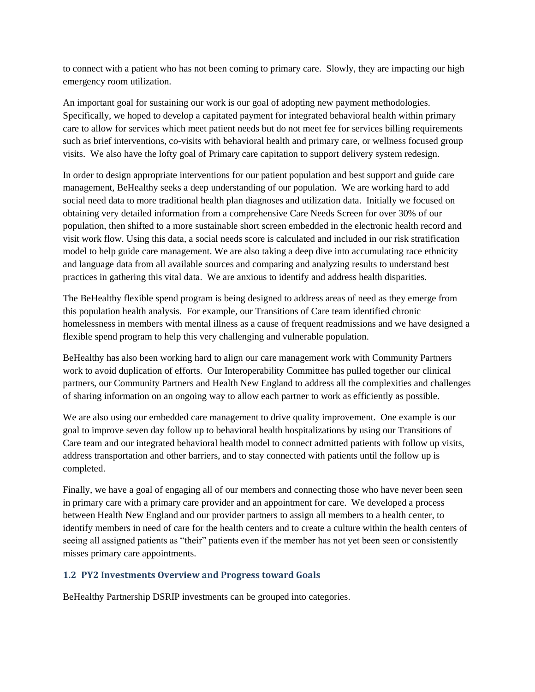to connect with a patient who has not been coming to primary care. Slowly, they are impacting our high emergency room utilization.

An important goal for sustaining our work is our goal of adopting new payment methodologies. Specifically, we hoped to develop a capitated payment for integrated behavioral health within primary care to allow for services which meet patient needs but do not meet fee for services billing requirements such as brief interventions, co-visits with behavioral health and primary care, or wellness focused group visits. We also have the lofty goal of Primary care capitation to support delivery system redesign.

In order to design appropriate interventions for our patient population and best support and guide care management, BeHealthy seeks a deep understanding of our population. We are working hard to add social need data to more traditional health plan diagnoses and utilization data. Initially we focused on obtaining very detailed information from a comprehensive Care Needs Screen for over 30% of our population, then shifted to a more sustainable short screen embedded in the electronic health record and visit work flow. Using this data, a social needs score is calculated and included in our risk stratification model to help guide care management. We are also taking a deep dive into accumulating race ethnicity and language data from all available sources and comparing and analyzing results to understand best practices in gathering this vital data. We are anxious to identify and address health disparities.

The BeHealthy flexible spend program is being designed to address areas of need as they emerge from this population health analysis. For example, our Transitions of Care team identified chronic homelessness in members with mental illness as a cause of frequent readmissions and we have designed a flexible spend program to help this very challenging and vulnerable population.

BeHealthy has also been working hard to align our care management work with Community Partners work to avoid duplication of efforts. Our Interoperability Committee has pulled together our clinical partners, our Community Partners and Health New England to address all the complexities and challenges of sharing information on an ongoing way to allow each partner to work as efficiently as possible.

We are also using our embedded care management to drive quality improvement. One example is our goal to improve seven day follow up to behavioral health hospitalizations by using our Transitions of Care team and our integrated behavioral health model to connect admitted patients with follow up visits, address transportation and other barriers, and to stay connected with patients until the follow up is completed.

Finally, we have a goal of engaging all of our members and connecting those who have never been seen in primary care with a primary care provider and an appointment for care. We developed a process between Health New England and our provider partners to assign all members to a health center, to identify members in need of care for the health centers and to create a culture within the health centers of seeing all assigned patients as "their" patients even if the member has not yet been seen or consistently misses primary care appointments.

### **1.2 PY2 Investments Overview and Progress toward Goals**

BeHealthy Partnership DSRIP investments can be grouped into categories.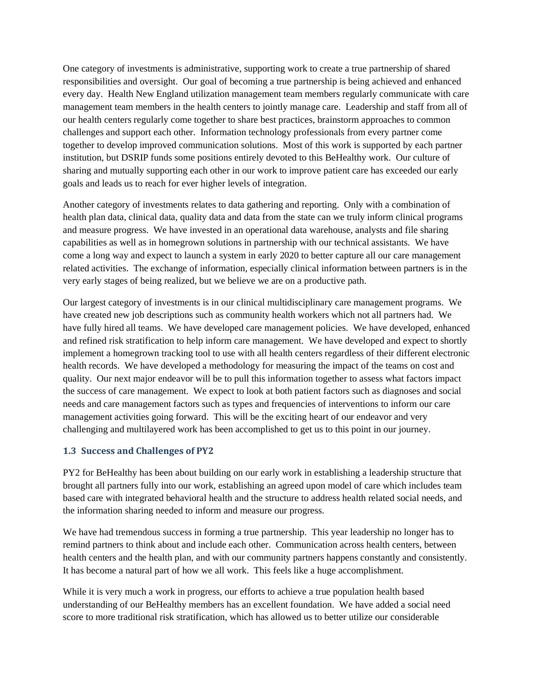One category of investments is administrative, supporting work to create a true partnership of shared responsibilities and oversight. Our goal of becoming a true partnership is being achieved and enhanced every day. Health New England utilization management team members regularly communicate with care management team members in the health centers to jointly manage care. Leadership and staff from all of our health centers regularly come together to share best practices, brainstorm approaches to common challenges and support each other. Information technology professionals from every partner come together to develop improved communication solutions. Most of this work is supported by each partner institution, but DSRIP funds some positions entirely devoted to this BeHealthy work. Our culture of sharing and mutually supporting each other in our work to improve patient care has exceeded our early goals and leads us to reach for ever higher levels of integration.

Another category of investments relates to data gathering and reporting. Only with a combination of health plan data, clinical data, quality data and data from the state can we truly inform clinical programs and measure progress. We have invested in an operational data warehouse, analysts and file sharing capabilities as well as in homegrown solutions in partnership with our technical assistants. We have come a long way and expect to launch a system in early 2020 to better capture all our care management related activities. The exchange of information, especially clinical information between partners is in the very early stages of being realized, but we believe we are on a productive path.

Our largest category of investments is in our clinical multidisciplinary care management programs. We have created new job descriptions such as community health workers which not all partners had. We have fully hired all teams. We have developed care management policies. We have developed, enhanced and refined risk stratification to help inform care management. We have developed and expect to shortly implement a homegrown tracking tool to use with all health centers regardless of their different electronic health records. We have developed a methodology for measuring the impact of the teams on cost and quality. Our next major endeavor will be to pull this information together to assess what factors impact the success of care management. We expect to look at both patient factors such as diagnoses and social needs and care management factors such as types and frequencies of interventions to inform our care management activities going forward. This will be the exciting heart of our endeavor and very challenging and multilayered work has been accomplished to get us to this point in our journey.

#### **1.3 Success and Challenges of PY2**

PY2 for BeHealthy has been about building on our early work in establishing a leadership structure that brought all partners fully into our work, establishing an agreed upon model of care which includes team based care with integrated behavioral health and the structure to address health related social needs, and the information sharing needed to inform and measure our progress.

We have had tremendous success in forming a true partnership. This year leadership no longer has to remind partners to think about and include each other. Communication across health centers, between health centers and the health plan, and with our community partners happens constantly and consistently. It has become a natural part of how we all work. This feels like a huge accomplishment.

While it is very much a work in progress, our efforts to achieve a true population health based understanding of our BeHealthy members has an excellent foundation. We have added a social need score to more traditional risk stratification, which has allowed us to better utilize our considerable